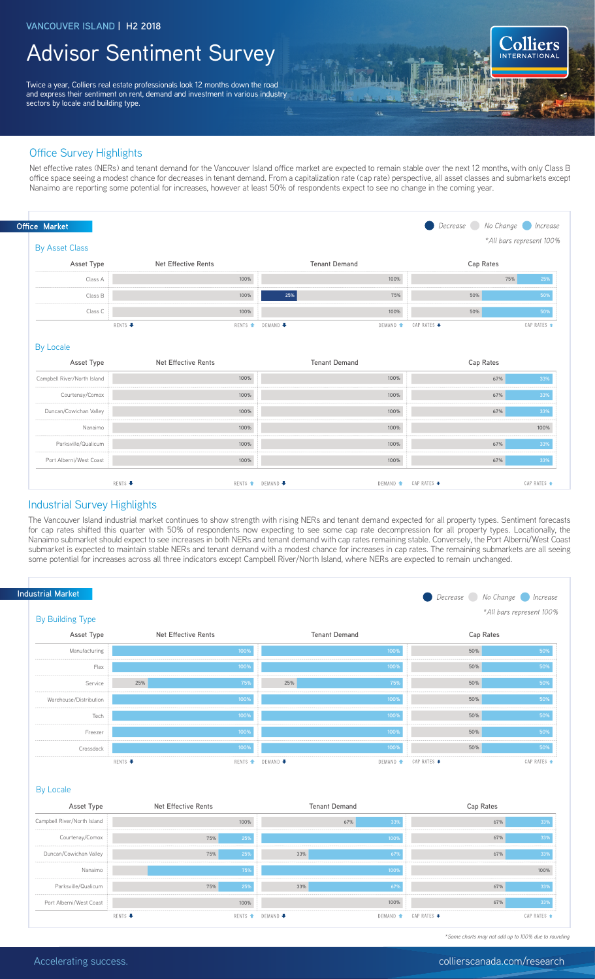## Advisor Sentiment Survey

Twice a year, Colliers real estate professionals look 12 months down the road and express their sentiment on rent, demand and investment in various industry sectors by locale and building type.

### Office Survey Highlights

Net effective rates (NERs) and tenant demand for the Vancouver Island office market are expected to remain stable over the next 12 months, with only Class B office space seeing a modest chance for decreases in tenant demand. From a capitalization rate (cap rate) perspective, all asset classes and submarkets except Nanaimo are reporting some potential for increases, however at least 50% of respondents expect to see no change in the coming year.

ä.

DEMAND <del>1</del>

CAP RATES ♦

|                                     |         |                            |                      |                     |             | *All bars represent 100% |                    |
|-------------------------------------|---------|----------------------------|----------------------|---------------------|-------------|--------------------------|--------------------|
| <b>By Asset Class</b><br>Asset Type |         | <b>Net Effective Rents</b> | <b>Tenant Demand</b> |                     | Cap Rates   |                          |                    |
| Class A                             |         | 100%                       |                      | 100%                |             | 75%                      | 25%                |
| Class B                             |         | 100%                       | 25%                  | 75%                 | 50%         |                          | 50%                |
| Class C                             |         | 100%                       |                      | 100%                | 50%         |                          | 50%                |
|                                     | RENTS + | RENTS <sup>+</sup>         | <b>DEMAND ↓</b>      | DEMAND <sup>1</sup> | CAP RATES + |                          | CAP RATES +        |
|                                     |         |                            |                      |                     |             |                          |                    |
| <b>By Locale</b><br>Asset Type      |         | Net Effective Rents        | <b>Tenant Demand</b> |                     | Cap Rates   |                          |                    |
| Campbell River/North Island         |         | 100%                       |                      | 100%                |             | 67%                      | 33%                |
| Courtenay/Comox                     |         | 100%                       |                      | 100%                |             | 67%                      |                    |
| Duncan/Cowichan Valley              |         | 100%                       |                      | 100%                |             | 67%                      |                    |
| Nanaimo                             |         | 100%                       |                      | 100%                |             |                          | 33%<br>33%<br>100% |
| Parksville/Qualicum                 |         | 100%                       |                      | 100%                |             | 67%                      | 33%                |

#### Industrial Survey Highlights

RENTS<sup>4</sup>

The Vancouver Island industrial market continues to show strength with rising NERs and tenant demand expected for all property types. Sentiment forecasts for cap rates shifted this quarter with 50% of respondents now expecting to see some cap rate decompression for all property types. Locationally, the Nanaimo submarket should expect to see increases in both NERs and tenant demand with cap rates remaining stable. Conversely, the Port Alberni/West Coast submarket is expected to maintain stable NERs and tenant demand with a modest chance for increases in cap rates. The remaining submarkets are all seeing some potential for increases across all three indicators except Campbell River/North Island, where NERs are expected to remain unchanged.

RENTS <del>▲</del> DEMAND ●



#### By Locale

| Asset Type                  | Net Effective Rents |      |                                | <b>Tenant Demand</b> | Cap Rates   |             |
|-----------------------------|---------------------|------|--------------------------------|----------------------|-------------|-------------|
| Campbell River/North Island |                     | 100% |                                | 33%<br>67%           | 67%         | 33%         |
| Courtenay/Comox             | 75%                 | 25%  |                                | 100%                 | 67%         | 33%         |
| Duncan/Cowichan Valley      | 75%                 | 25%  | 33%                            | 67%                  | 67%         | 33%         |
| Nanaimo                     |                     | 75%  |                                | 100%                 |             | 100%        |
| Parksville/Qualicum         | 75%                 | 25%  | 33%                            | 67%                  | 67%         | 33%         |
| Port Alberni/West Coast     |                     | 100% |                                | 100%                 | 67%         | 33%         |
|                             | RENTS +             |      | RENTS <b>1</b> DEMAND <b>4</b> | DEMAND <del>1</del>  | CAP RATES ♥ | CAP RATES + |

*\*Some charts may not add up to 100% due to rounding*

Colliers

CAP RATES 1